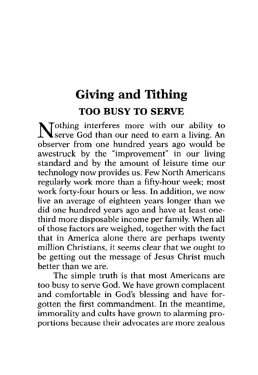# **Giving and Tithing TOO BUSY TO SERVE**

Nothing interferes more with our ability to serve God than our need to earn a living. An observer from one hundred years ago would be awestruck by the "improvement" in our living standard and by the amount of leisure time our technology now provides us. Few North Americans regularly work more than a fifty-hour week; most work forty-four hours or less. In addition, we now live an average of eighteen years longer than we did one hundred years ago and have at least onethird more disposable income per family. When all of those factors are weighed, together with the fact that in America alone there are perhaps twenty million Christians, it seems clear that we ought to be getting out the message of Jesus Christ much better than we are.

The simple truth is that most Americans are too busy to serve God. We have grown complacent and comfortable in God's blessing and have forgotten the first commandment. In the meantime, immorality and cults have grown to alarming proportions because their advocates are more zealous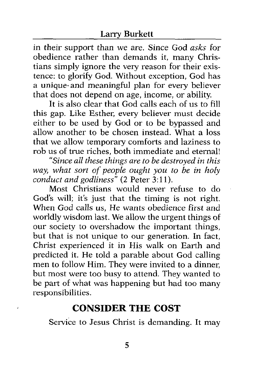in their support than we are. Since God *asks* for obedience rather than demands it, many Christians simply ignore the very reason for their existence: to glorify God. Without exception, God has a unique.and meaningful plan for every believer that does not depend on age, income, or ability.

It is also clear that God calls each of us to fill this gap. Like Esther, every believer must decide either to be used by God or to be bypassed and allow another to be chosen instead. What a loss that we allow temporary comforts and laziness to rob us of true riches, both immediate and eternal!

*"Since all these things are to be destroyed in this way, what sort of people ought you to be in holy conduct and godliness"* (2 Peter 3:11).

Most Christians would never refuse to do God's will; it's just that the timing is not right. When God calls us, He wants obedience first and worldly wisdom last. We allow the urgent things of our society to overshadow the important things, but that is not unique to our generation. In fact, Christ experienced it in His walk on Earth and predicted it. He told a parable about God calling men to follow Him. They were invited to a dinner, but most were too busy to attend. They wanted to be part of what was happening but had too many responsibilities.

# **CONSIDER THE COST**

í

Service to Jesus Christ is demanding. It may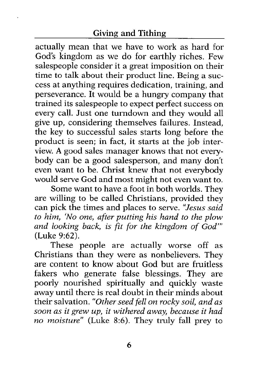actually mean that we have to work as hard for God's kingdom as we do for earthly riches. Few salespeople consider it a great imposition on their time to talk about their product line. Being a success at anything requires dedication, training, and perseverance. It would be a hungry company that trained its salespeople to expect perfect success on every call. Just one turndown and they would all give up, considering themselves failures. Instead, the key to successful sales starts long before the product is seen; in fact, it starts at the job interview. **A** good sales manager knows that not everybody can be a good salesperson, and many don't even want to be. Christ knew that not everybody would serve God and most might not even want to.

Some want to have a foot in both worlds. They are willing to be called Christians, provided they can pick the times and places to serve. *"Jesus said to him, 'No one, after putting his hand to the plow and looking back, is fit for the kingdom of God"'*  (Luke 9:62).

These people are actually worse off as Christians than they were as nonbelievers. They are content to know about God but are fruitless fakers who generate false blessings. They are poorly nourished spiritually and quickly waste away until there is real doubt in their minds about their salvation. *"Other seed fell on rocky soil, and as soon as it grew up, it withered away, because it had no moisture"* (Luke 8:6). They truly fall prey to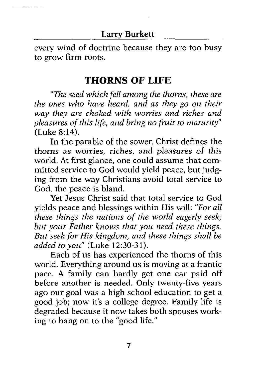every wind of doctrine because they are too busy to grow firm roots.

### **THORNS OF LIFE**

*"The seed which fell among the thorns, these are the ones who have heard, and as they go on their way they are choked with wom'es and riches and pleasures ofthis life, and bring no fruit to maturity"*  (Luke *8:* 14).

In the parable of the sower, Christ defines the thorns as worries, riches, and pleasures *of* this world. At first glance, one could assume that committed service to God would yield peace, but judging from the way Christians avoid total service to God, the peace is bland.

Yet Jesus Christ said that total service to God yields peace and blessings within His will: *"For all these things the nations of the world eagerly seek; but your Father knows that you need these things. But seek for His kingdom, and these things shall be added to you"* (Luke 12:30-31).

Each of us has experienced the thorns of this world. Everything around us is moving at a frantic pace. A family can hardly get one car paid off before another is needed. Only twenty-five years ago our goal was a high school education to get a good job; now it's a college degree. Family life is degraded because it now takes both spouses working to hang on to the "good life."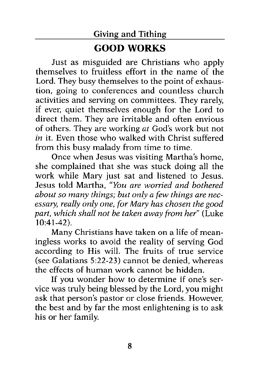# **GOOD** WORKS

Just as misguided are Christians who apply themselves to fruitless effort in the name of the Lord. They busy themselves to the point of exhaustion, going to conferences and countless church activities and serving on committees. They rarely, if ever, quiet themselves enough for the Lord to direct them. They are imtable and often envious of others. They are working *at* God's work but not *in* it. Even those who walked with Christ suffered from this busy malady from time to time.

Once when Jesus was visiting Martha's home, she complained that she was stuck doing all the work while Mary just sat and listened to Jesus. Jesus told Martha, *"You are worried and bothered about so many things; but only a few things are necessary, really only one, for Mary has chosen the good part, which shall not be taken away from her"* (Luke 10:41-42).

Many Christians have taken on a life of meaningless works to avoid the reality of serving God according to His will. The fruits of true service (see Galatians 5:22-23) cannot be denied, whereas the effects of human work cannot be hidden.

If you wonder how to determine if one's service was truly being blessed by the Lord, you might ask that person's pastor or close friends. However, the best and by far the most enlightening is to ask his or her family.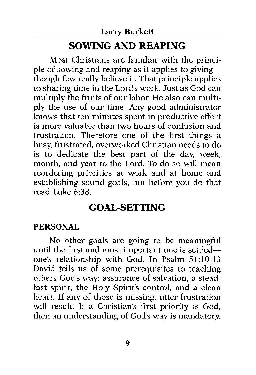## **SOWING AND REAPING**

Most Christians are familiar with the principle of sowing and reaping as it applies to givingthough few really believe it. That principle applies to sharing time in the Lord's work. Just as God can multiply the fruits of our labor, He also can multiply the use of our time. Any good administrator knows that ten minutes spent in productive effort is more valuable than two hours of confusion and frustration. Therefore one of the first things a busy, frustrated, overworked Christian needs to do is to dedicate the best part of the day, week, month, and year to the Lord. To do so will mean reordering priorities at work and at home and establishing sound goals, but before you do that read Luke 6:38.

## **GOAL-SETTING**

#### **PERSONAL**

No other goals are going to be meaningful until the first and most important one is settledone's relationship with God. In Psalm **51:lO-13**  David tells us of some prerequisites to teaching others God's way: assurance of salvation, a steadfast spirit, the Holy Spirit's control, and a clean heart. If any of those is missing, utter frustration will result. If a Christian's first priority is God, then an understanding of God's way is mandatory.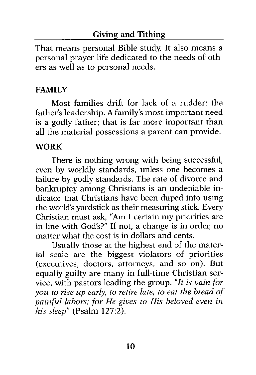That means personal Bible study. It also means a personal prayer life dedicated to the needs of others as well as to personal needs.

#### **FAMILY**

Most families drift for lack of a rudder: the father's leadership. **A** family's most important need is a godly father; that is far more important than all the material possessions a parent can provide.

#### **WORK**

There is nothing wrong with being successful, even by worldly standards, unless one becomes a failure by godly standards. The rate of divorce and bankruptcy among Christians is an undeniable indicator that Christians have been duped into using the world's yardstick as their measuring stick. Every Christian must ask, **"Am** I certain my priorities are in line with God's?" If not, a change is in order, no matter what the cost is in dollars and cents.

Usually those at the highest end of the material scale are the biggest violators of priorities (executives, doctors, attorneys, and so on). But equally guilty are many in full-time Christian service, with pastors leading the group. *"It is vain for you to rise up early, to retire late, to eat the bread of painful labors; for He gives to His beloved even in his sleep"* (Psalm 127:2).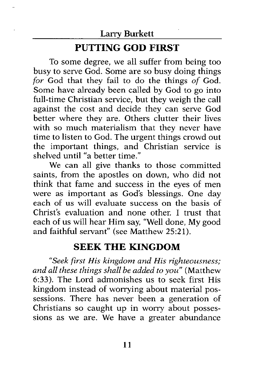# **PUTTING GOD FIRST**

To some degree, we all suffer from being too busy to serve God. Some are so busy doing things for God that they fail to do the things of God. Some have already been called by God to go into full-time Christian service, but they weigh the call against the cost and decide they can serve God better where they are. Others clutter their lives with so much materialism that they never have time to listen to God. The urgent things crowd out the important things, and Christian service is shelved until "a better time."

We can all give thanks to those committed saints, from the apostles on down, who did not think that fame and success in the eyes of men were as important as God's blessings. One day each of us will evaluate success on the basis of Christ's evaluation and none other. I trust that each of us will hear Him say, "Well done, My good and faithful servant" (see Matthew 25:21).

## **SEEK THE KINGDOM**

*"Seek first His kingdom and His righteousness; and all these things shall be added to you"* (Matthew **6:33).** The Lord admonishes us to seek first His kingdom instead of worrying about material possessions. There has never been a generation of Christians so caught up in wony about possessions as we are. We have a greater abundance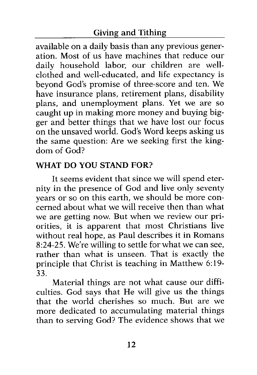available on a daily basis than any previous generation. Most of us have machines that reduce our daily household labor, our children are wellclothed and well-educated, and life expectancy is beyond God's promise of three-score and ten. We have insurance plans, retirement plans, disability plans, and unemployment plans. Yet we are so caught up in making more money and buying bigger and better things that we have lost our focus on the unsaved world. God's Word keeps asking us the same question: Are we seeking first the kingdom of God?

#### WHAT **DO YOU STAND FOR?**

It seems evident that since we will spend eternity in the presence of God and live only seventy years or so on this earth, we should be more concerned about what we will receive then than what we are getting now. But when we review our priorities, it is apparent that most Christians live without real hope, as Paul describes it in Romans **8:24-25.** We're willing to settle for what we can see, rather than what is unseen. That is exactly the principle that Christ is teaching in Matthew 6:19-**33.** 

Material things are not what cause our difficulties. God says that He will give us the things that the world cherishes so much. But are we more dedicated to accumulating material things than to serving God? The evidence shows that we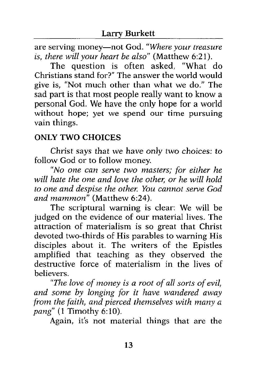are serving money-not God. *"Where your treasure is, there will your heart be also"* (Matthew 6:21).

The question is often asked, "What do Christians stand For?" The answer the world would give is, "Not much other than what we do." The sad part is that most people really want to know a personal God. We have the only hope for a world without hope; yet we spend our time pursuing vain things.

#### **ONLY TWO CHOICES**

Christ says that we have only two choices: to follow God or to follow money.

*"No one can serve two masters; for either he* will hate the one and love the other, or he will hold *to one and despise the othev. You cannot sewe God*  and mammon" (Matthew 6:24).

The scriptural warning is clear: We will be judged on the evidence of our material lives. The attraction of materialism is so great that Christ devoted two-thirds of His parables to warning His disciples about it. The writers of the Epistles amplified that teaching as they observed the destructive force of materialism in the lives of believers.

*"The love of money is a root of all sorts of evil, and some by longing for it have wandered away from the faith, and pierced themselves with many a pang"* (1 Timothy 6:lO).

Again, it's not material things that are the